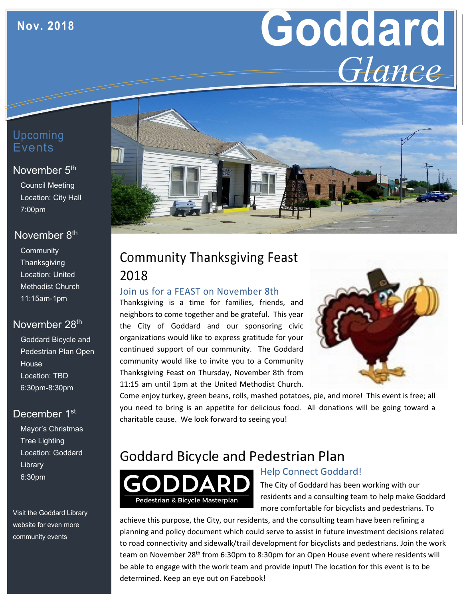# **Goddard** *Glance*

## Upcoming **Events**

#### November 5<sup>th</sup>

Council Meeting Location: City Hall 7:00pm

#### November 8<sup>th</sup>

**Community Thanksgiving** Location: United Methodist Church 11:15am-1pm

## November 28<sup>th</sup>

Goddard Bicycle and Pedestrian Plan Open House Location: TBD 6:30pm-8:30pm

## December 1<sup>st</sup>

Mayor's Christmas Tree Lighting Location: Goddard Library 6:30pm

Visit the Goddard Library website for even more community events



# Community Thanksgiving Feast 2018

#### Join us for a FEAST on November 8th

Thanksgiving is a time for families, friends, and neighbors to come together and be grateful. This year the City of Goddard and our sponsoring civic organizations would like to express gratitude for your continued support of our community. The Goddard community would like to invite you to a Community Thanksgiving Feast on Thursday, November 8th from 11:15 am until 1pm at the United Methodist Church.



Come enjoy turkey, green beans, rolls, mashed potatoes, pie, and more! This event is free; all you need to bring is an appetite for delicious food. All donations will be going toward a charitable cause. We look forward to seeing you!

## Goddard Bicycle and Pedestrian Plan



## Help Connect Goddard!

The City of Goddard has been working with our residents and a consulting team to help make Goddard more comfortable for bicyclists and pedestrians. To

achieve this purpose, the City, our residents, and the consulting team have been refining a planning and policy document which could serve to assist in future investment decisions related to road connectivity and sidewalk/trail development for bicyclists and pedestrians. Join the work team on November 28th from 6:30pm to 8:30pm for an Open House event where residents will be able to engage with the work team and provide input! The location for this event is to be determined. Keep an eye out on Facebook!